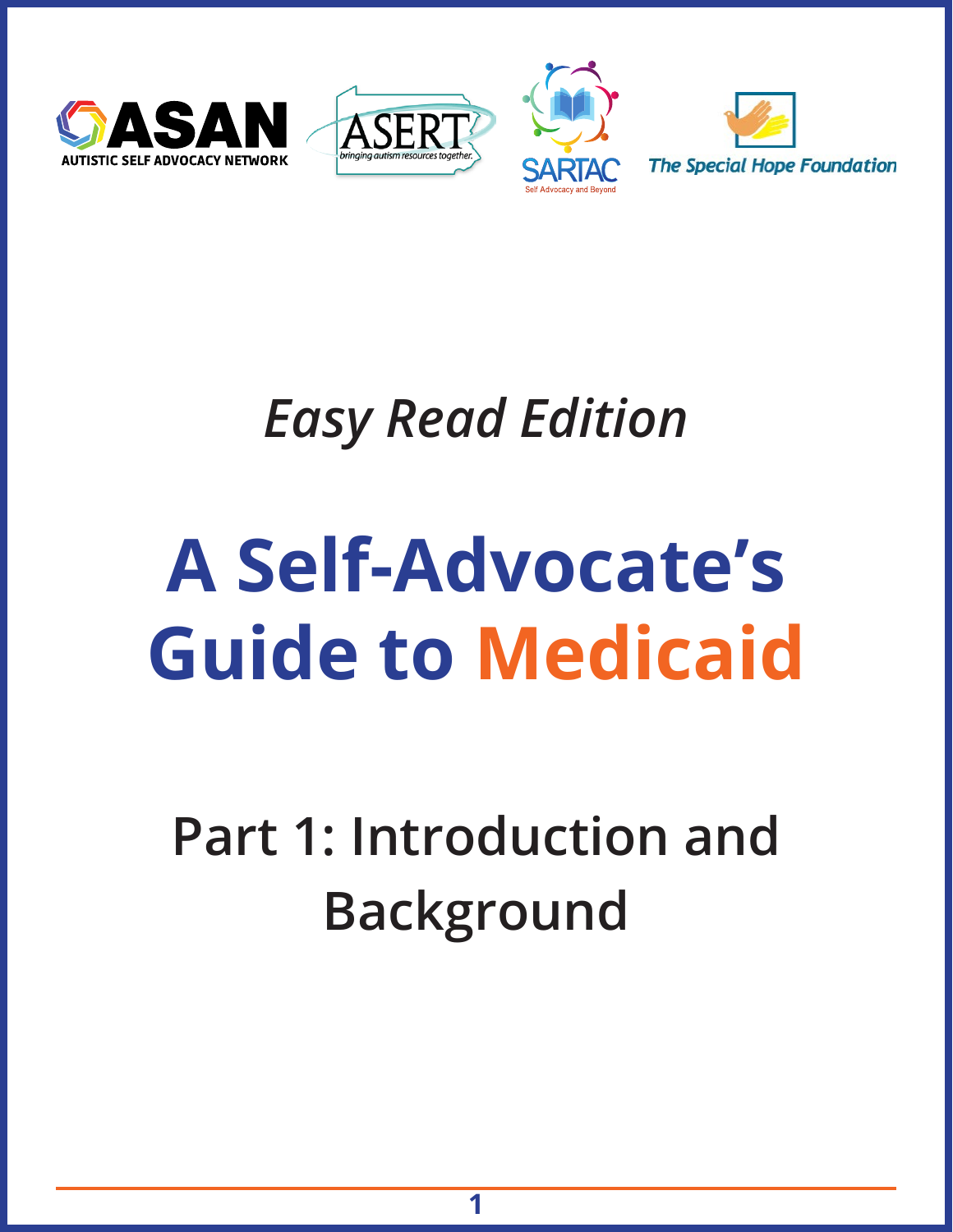





# *Easy Read Edition*

# **A Self-Advocate's Guide to Medicaid**

# **Part 1: Introduction and Background**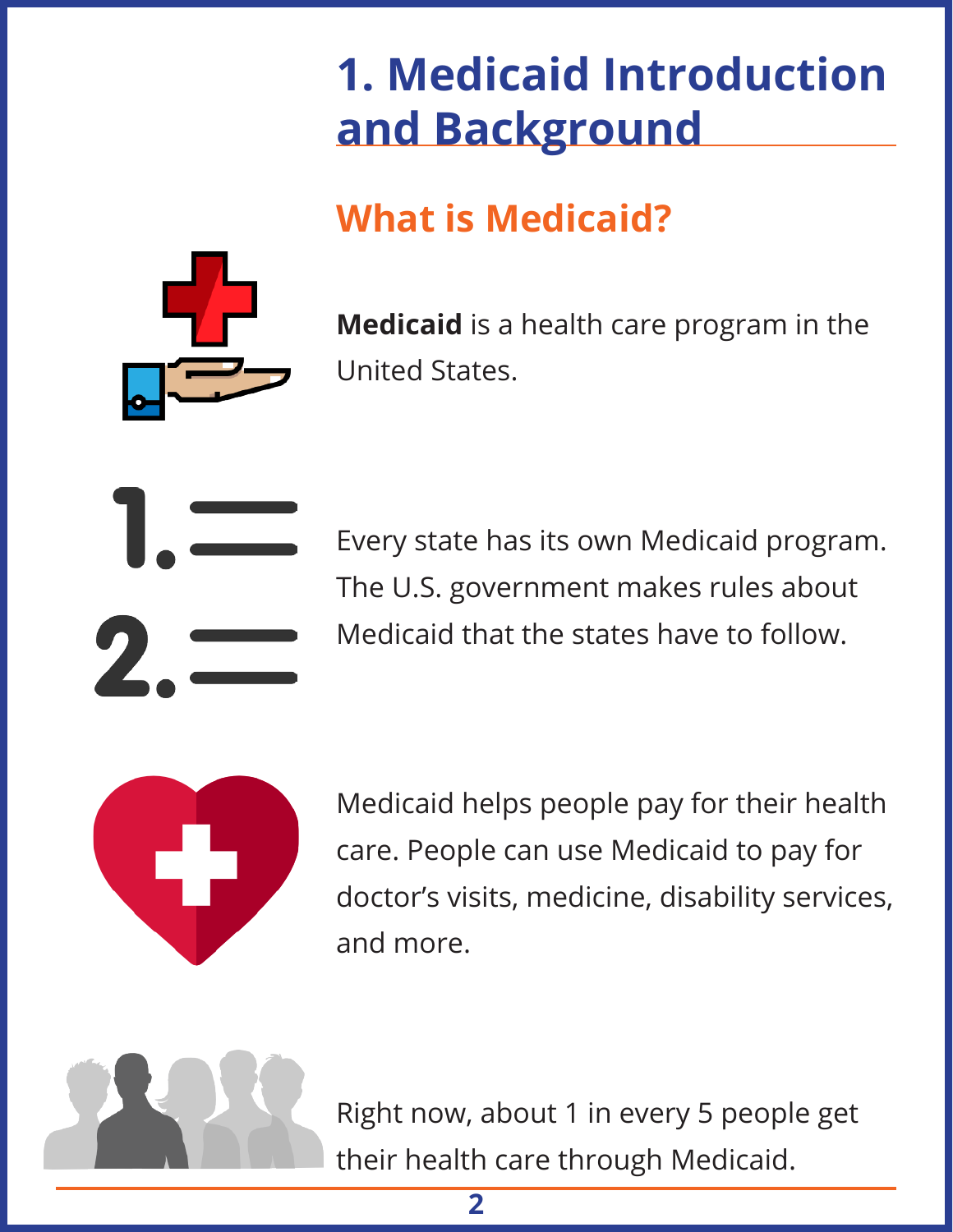# **1. Medicaid Introduction and Background**

# **What is Medicaid?**



**Medicaid** is a health care program in the United States.



Every state has its own Medicaid program. The U.S. government makes rules about Medicaid that the states have to follow.



Medicaid helps people pay for their health care. People can use Medicaid to pay for doctor's visits, medicine, disability services, and more.



Right now, about 1 in every 5 people get their health care through Medicaid.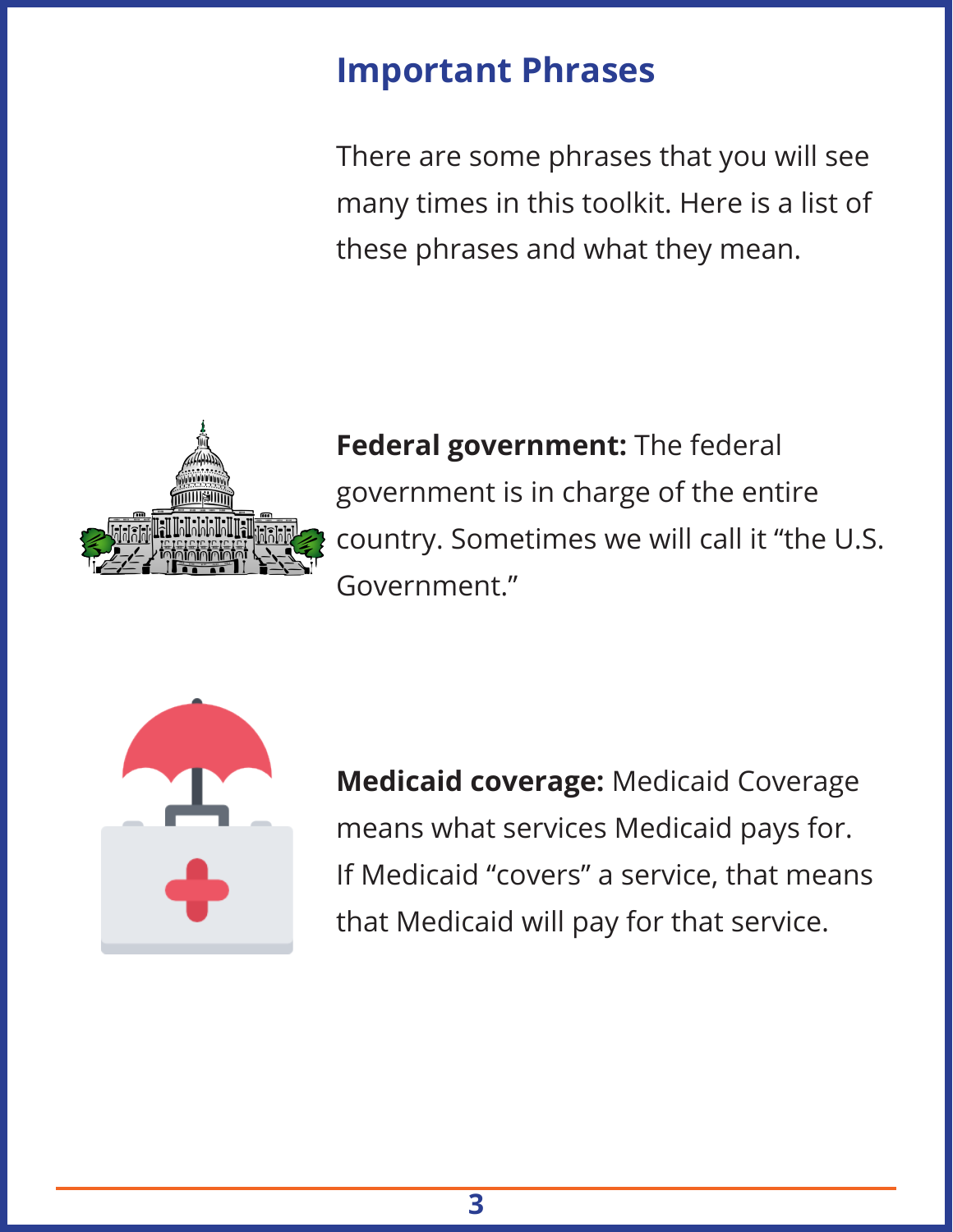#### **Important Phrases**

There are some phrases that you will see many times in this toolkit. Here is a list of these phrases and what they mean.



**Federal government:** The federal government is in charge of the entire country. Sometimes we will call it "the U.S. Government."



**Medicaid coverage:** Medicaid Coverage means what services Medicaid pays for. If Medicaid "covers" a service, that means that Medicaid will pay for that service.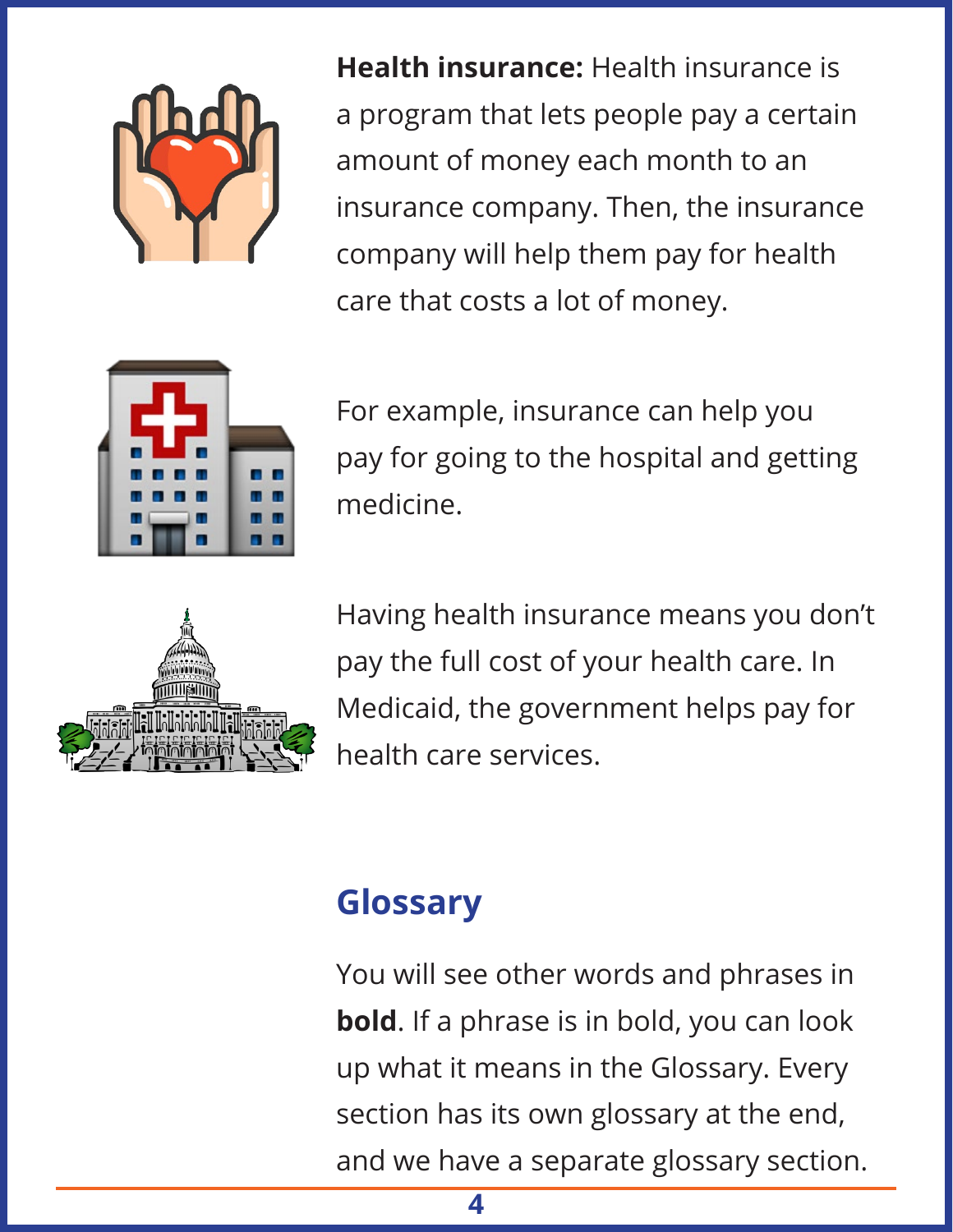

**Health insurance:** Health insurance is a program that lets people pay a certain amount of money each month to an insurance company. Then, the insurance company will help them pay for health care that costs a lot of money.



For example, insurance can help you pay for going to the hospital and getting medicine.



Having health insurance means you don't pay the full cost of your health care. In Medicaid, the government helps pay for health care services.

#### **Glossary**

You will see other words and phrases in **bold**. If a phrase is in bold, you can look up what it means in the Glossary. Every section has its own glossary at the end, and we have a separate glossary section.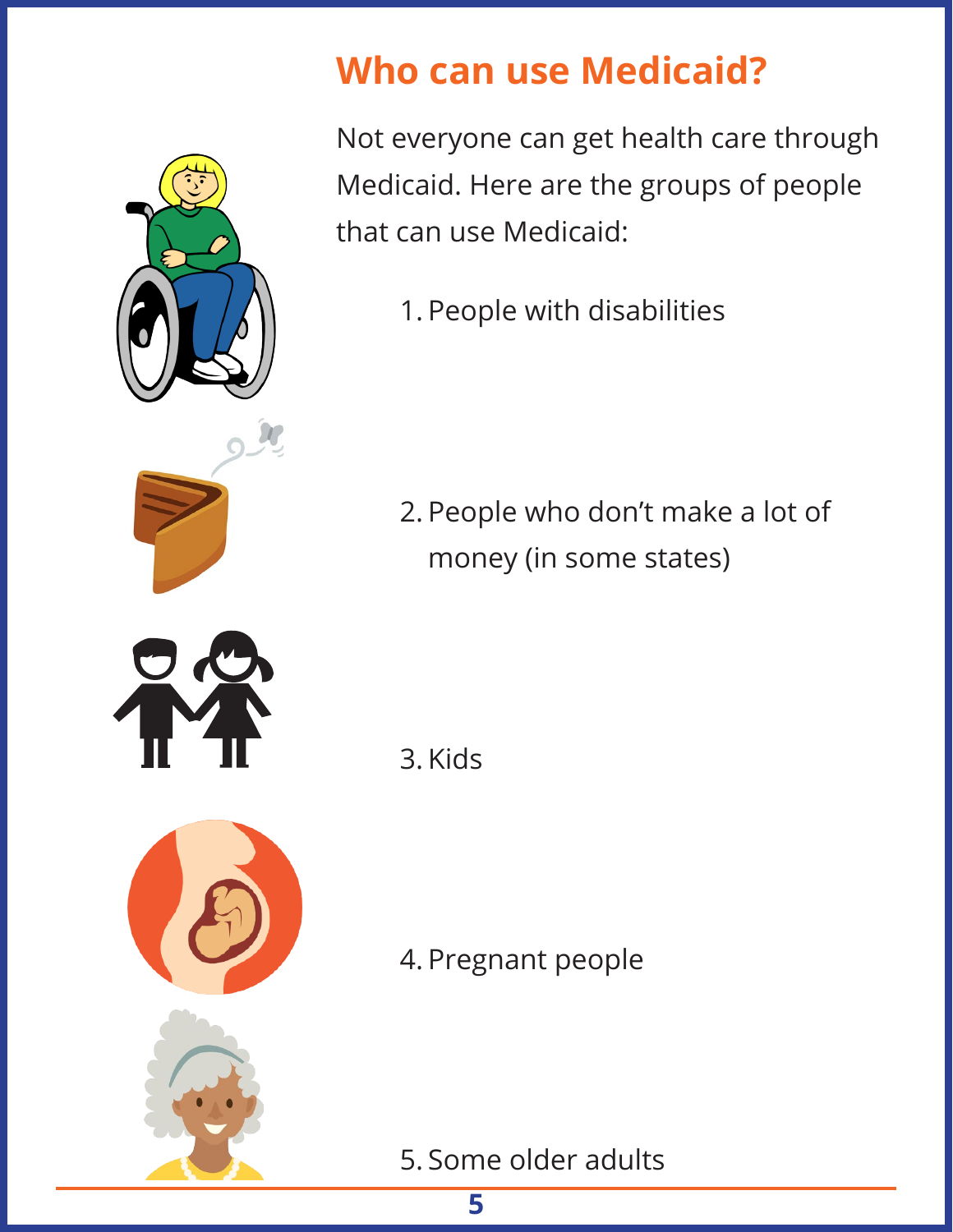

# **Who can use Medicaid?**

Not everyone can get health care through Medicaid. Here are the groups of people that can use Medicaid:

1. People with disabilities

2. People who don't make a lot of money (in some states)

3. Kids

4. Pregnant people

5. Some older adults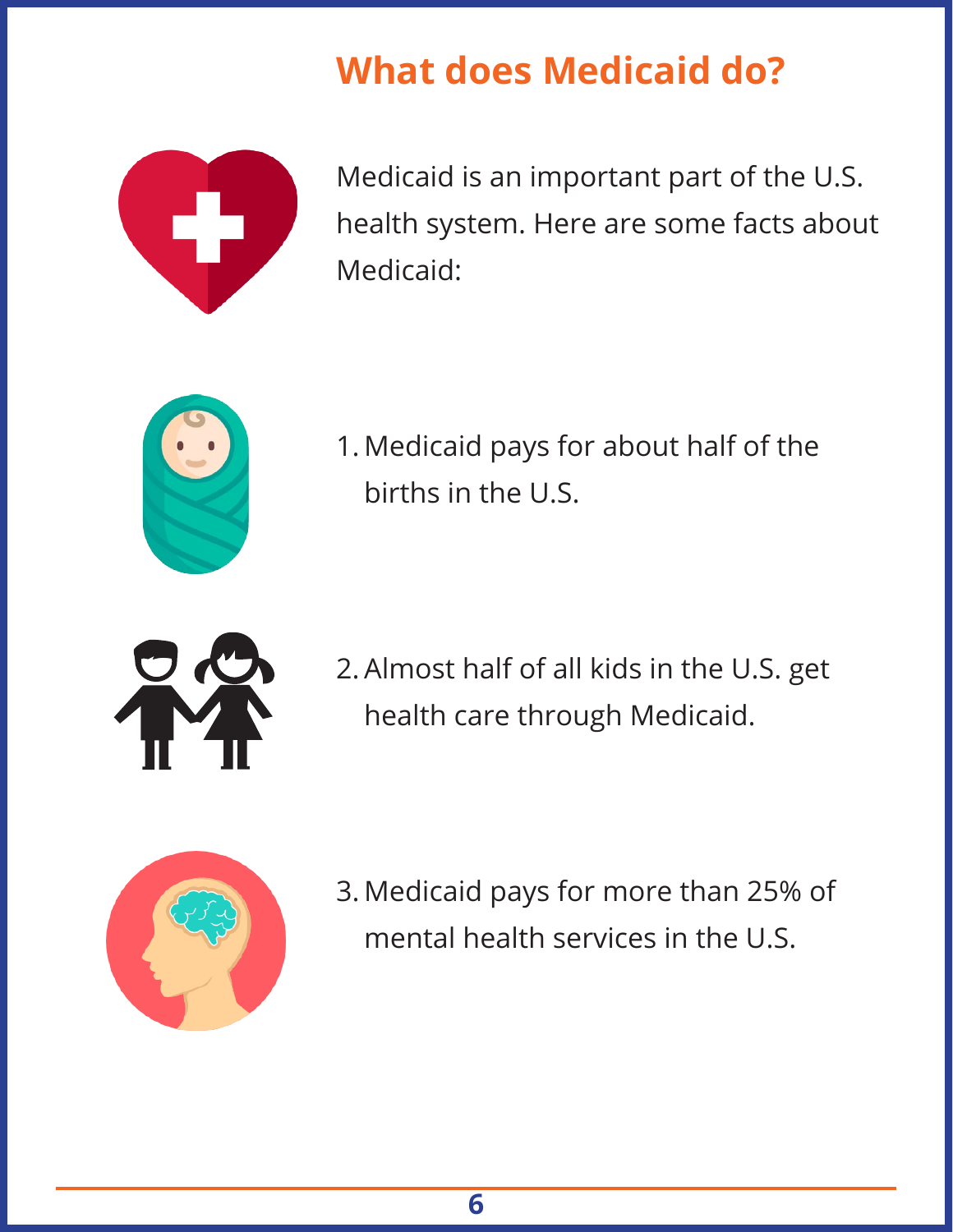# **What does Medicaid do?**



Medicaid is an important part of the U.S. health system. Here are some facts about Medicaid:



1. Medicaid pays for about half of the births in the U.S.



2. Almost half of all kids in the U.S. get health care through Medicaid.



3. Medicaid pays for more than 25% of mental health services in the U.S.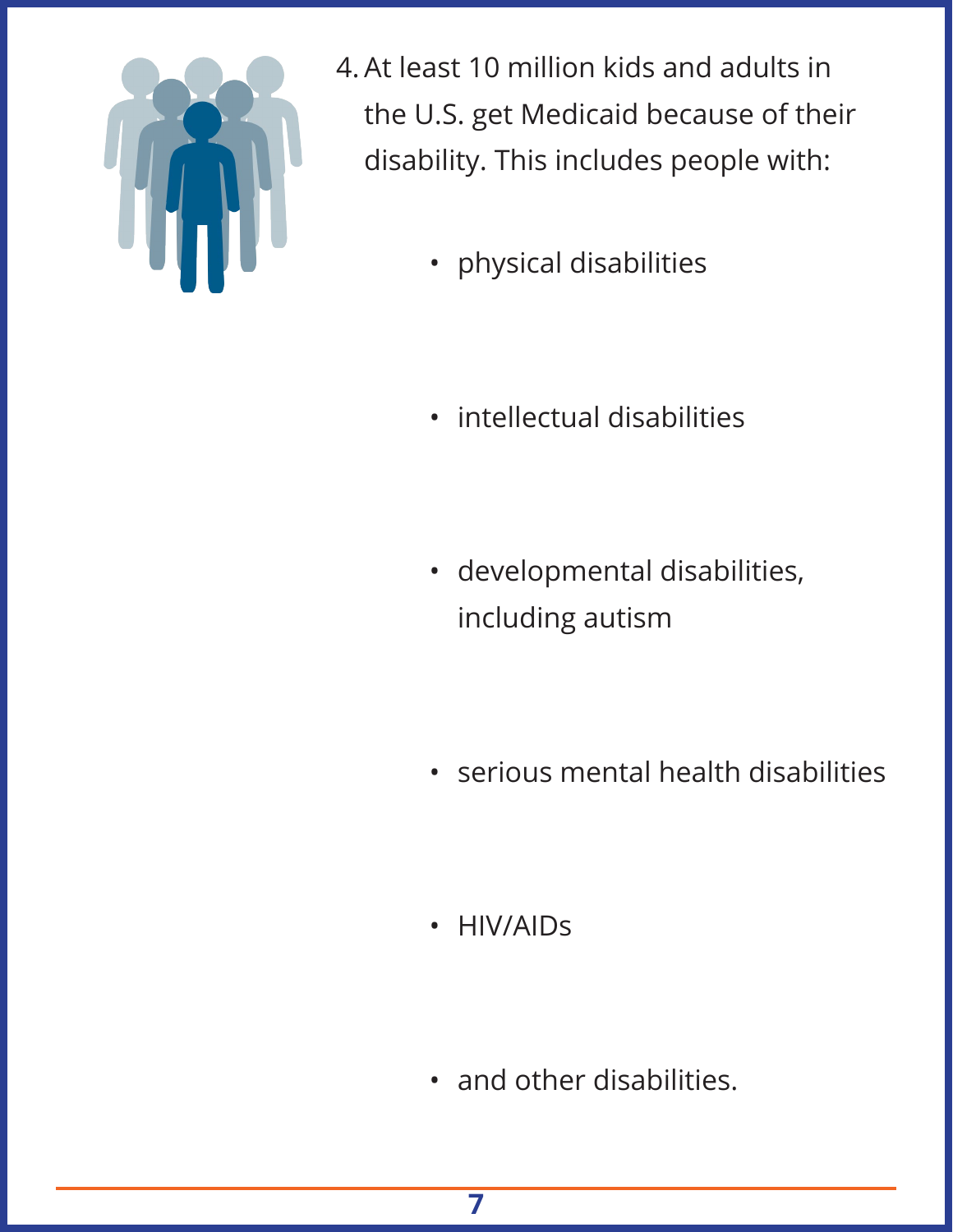

4. At least 10 million kids and adults in the U.S. get Medicaid because of their disability. This includes people with:

- physical disabilities
- intellectual disabilities
- developmental disabilities, including autism
- serious mental health disabilities
- HIV/AIDs
- and other disabilities.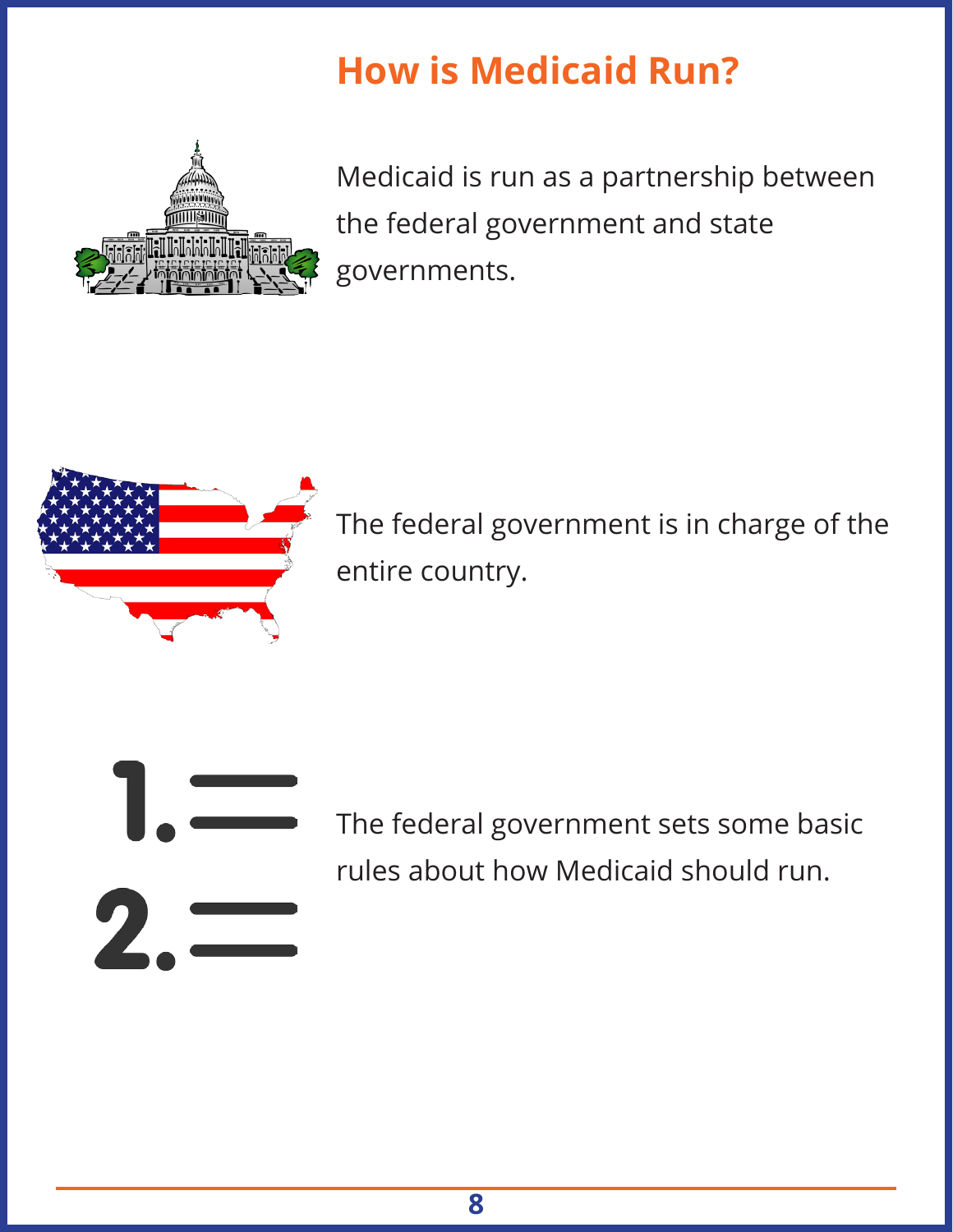# **How is Medicaid Run?**



Medicaid is run as a partnership between the federal government and state governments.



The federal government is in charge of the entire country.



The federal government sets some basic rules about how Medicaid should run.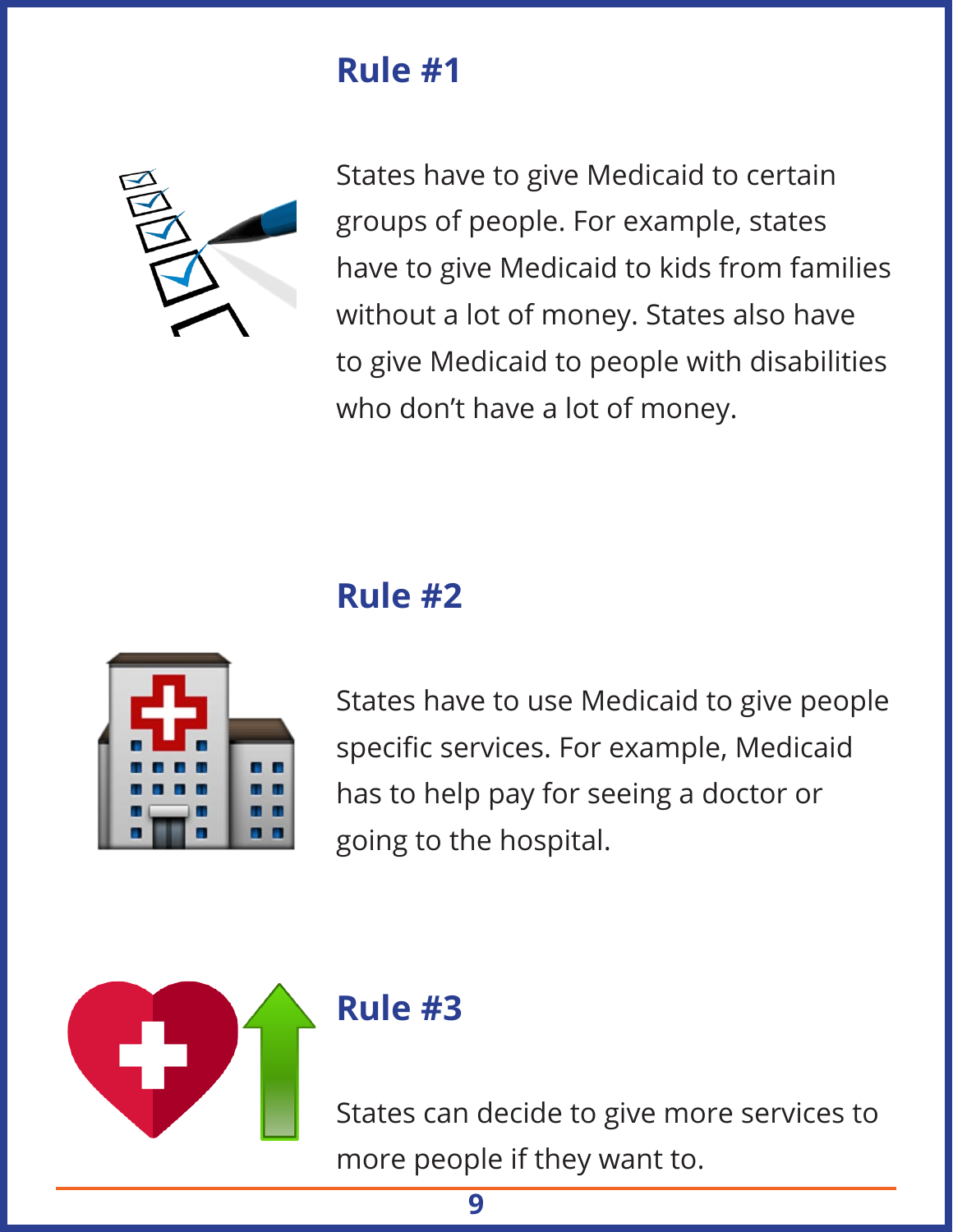#### **Rule #1**



States have to give Medicaid to certain groups of people. For example, states have to give Medicaid to kids from families without a lot of money. States also have to give Medicaid to people with disabilities who don't have a lot of money.

# **Rule #2**



States have to use Medicaid to give people specific services. For example, Medicaid has to help pay for seeing a doctor or going to the hospital.



#### **Rule #3**

States can decide to give more services to more people if they want to.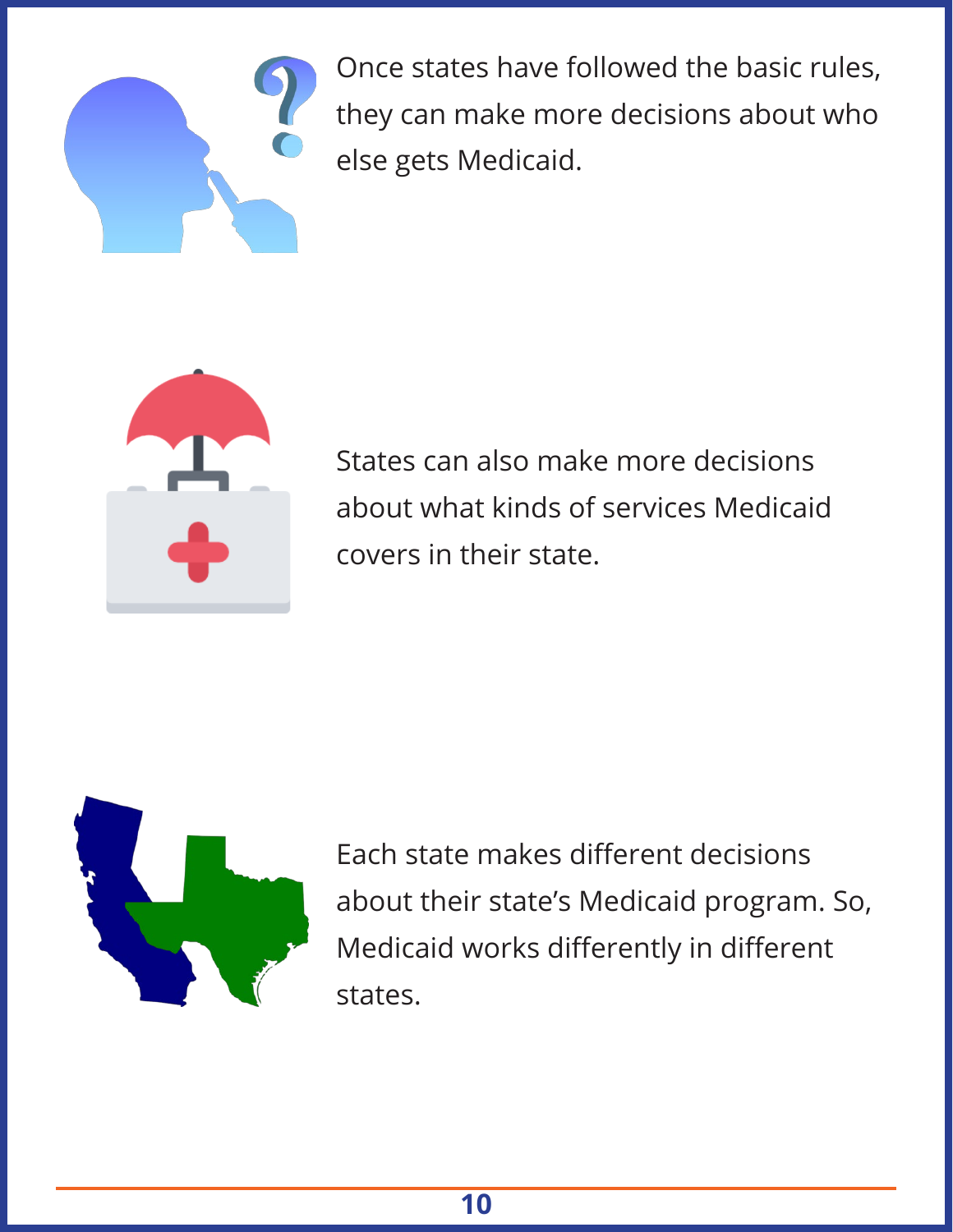

Once states have followed the basic rules, they can make more decisions about who else gets Medicaid.



States can also make more decisions about what kinds of services Medicaid covers in their state.



Each state makes different decisions about their state's Medicaid program. So, Medicaid works differently in different states.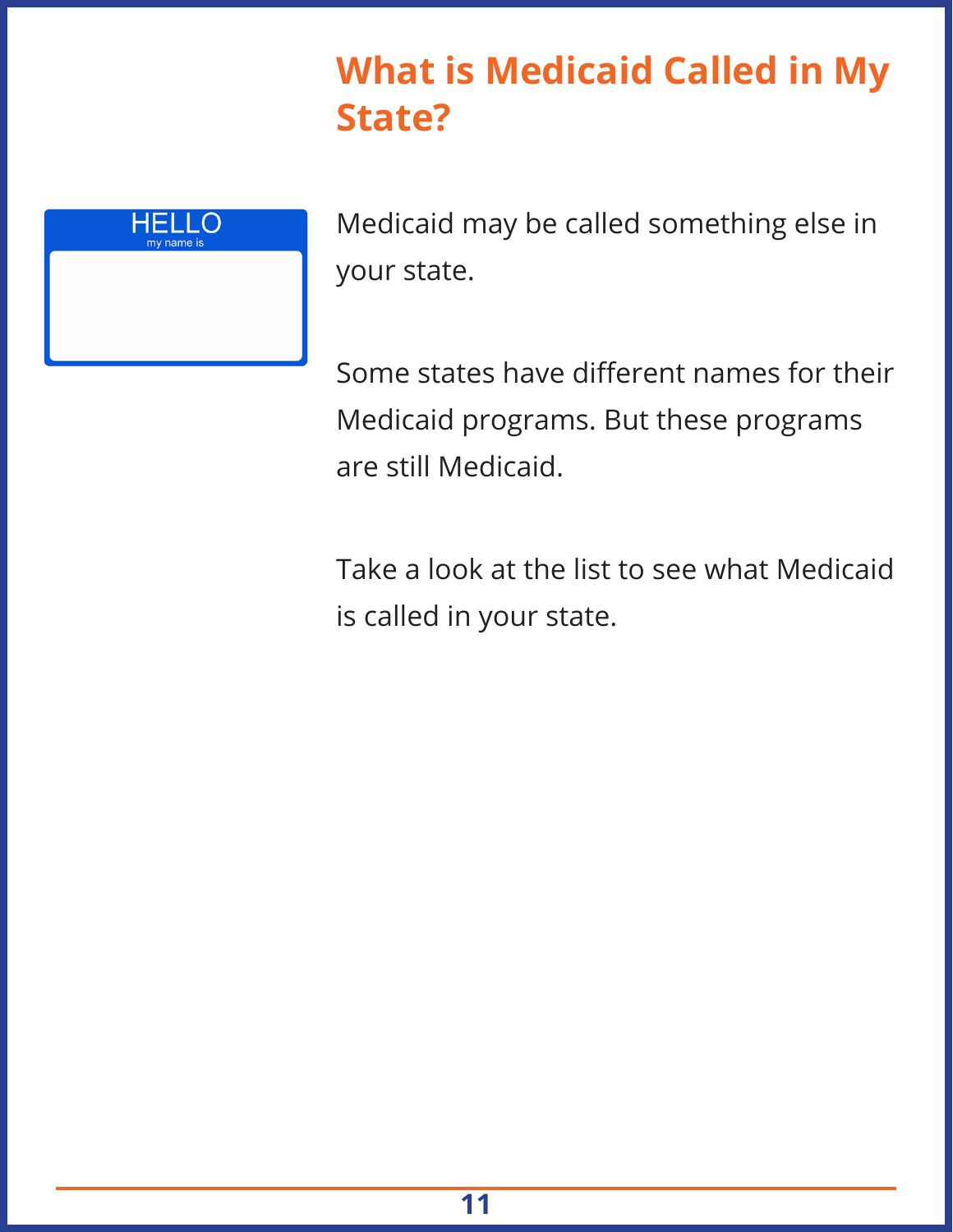## **What is Medicaid Called in My State?**



Medicaid may be called something else in your state.

Some states have different names for their Medicaid programs. But these programs are still Medicaid.

Take a look at the list to see what Medicaid is called in your state.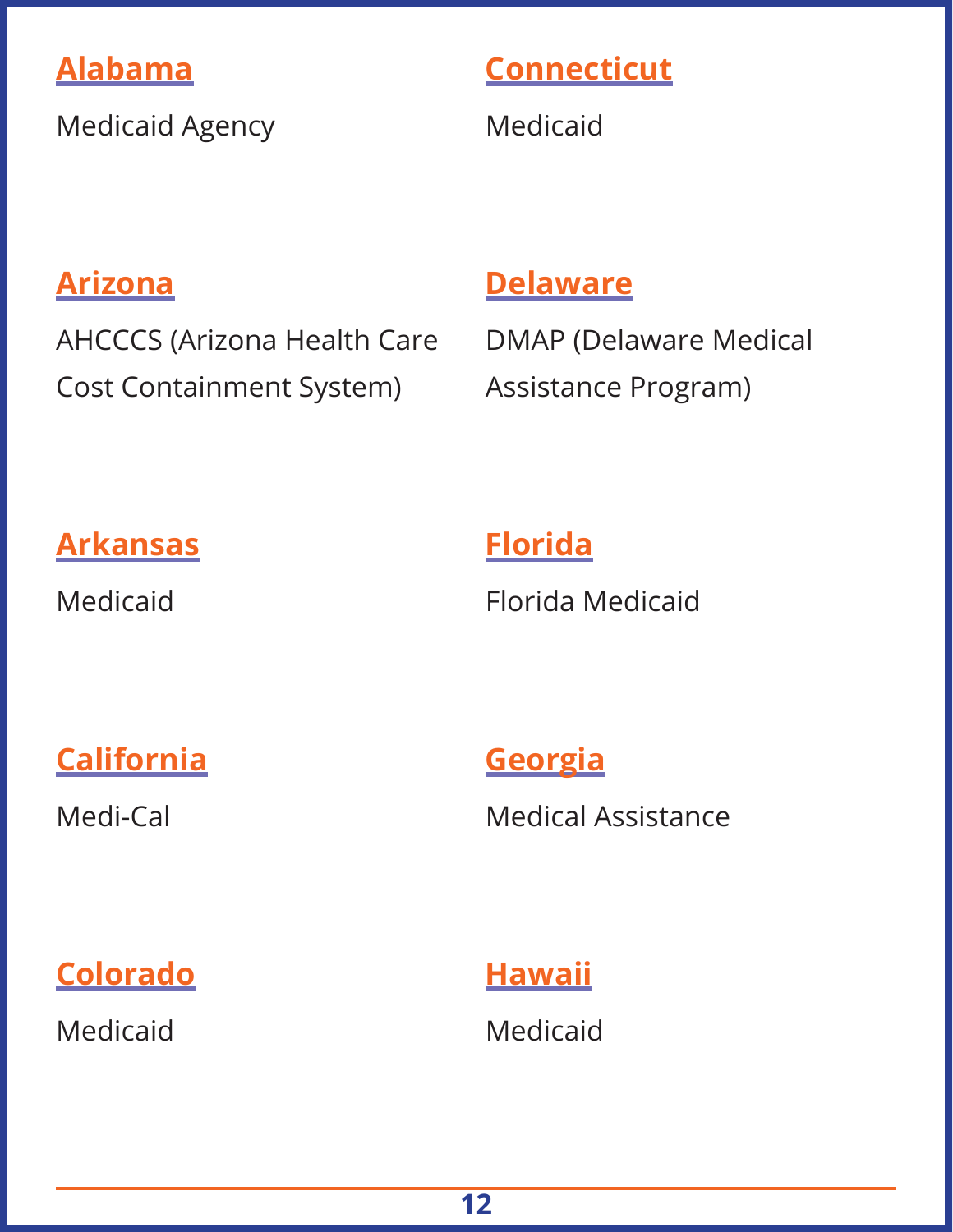#### **Alabama**

Medicaid Agency

#### **Connecticut**

Medicaid

#### **Arizona**

AHCCCS (Arizona Health Care Cost Containment System)

#### **Delaware**

DMAP (Delaware Medical Assistance Program)

#### **Arkansas**

Medicaid

#### **Florida**

Florida Medicaid

#### **California**

Medi-Cal

**Georgia** Medical Assistance

**Colorado**

Medicaid

**Hawaii** Medicaid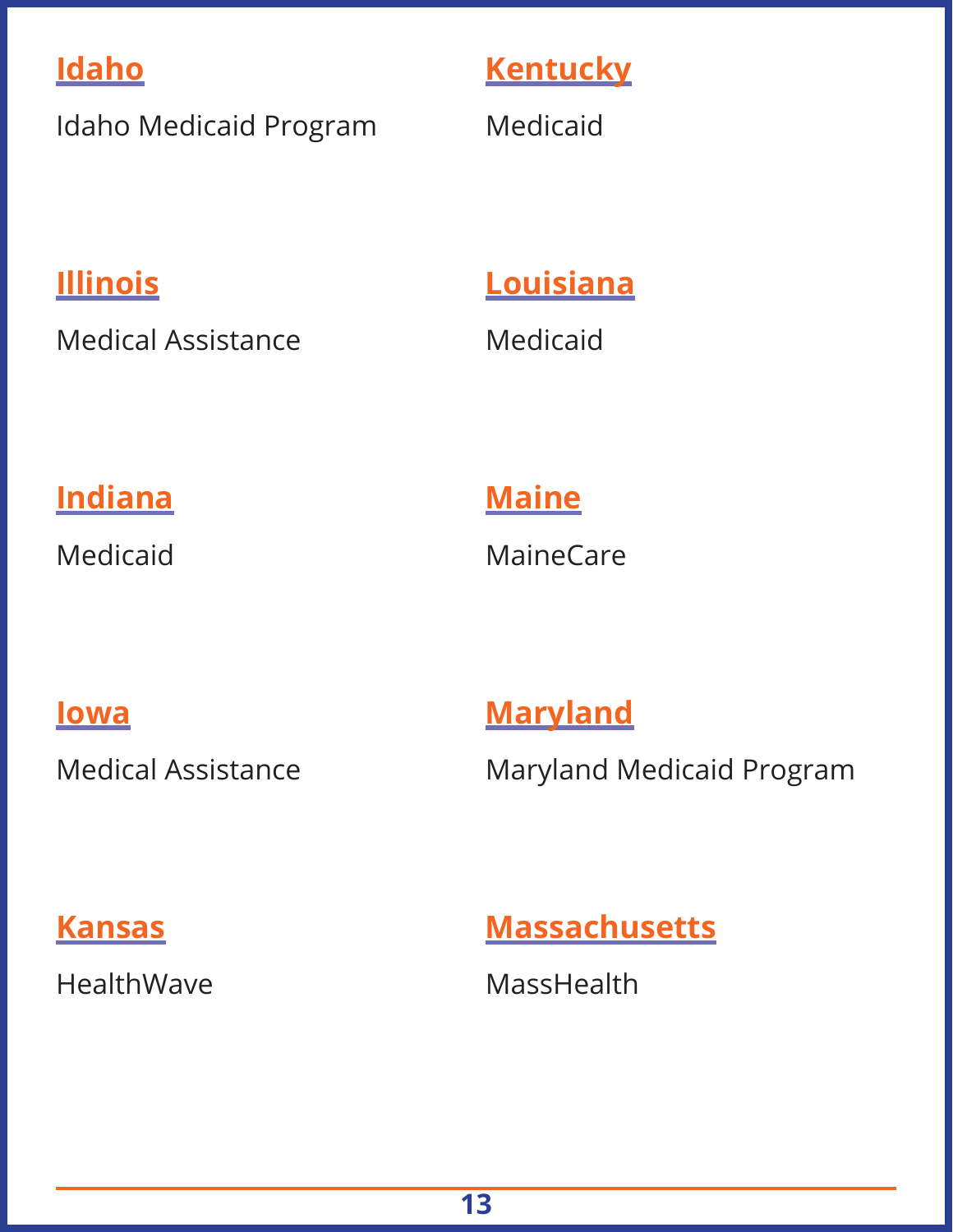#### **Idaho**

Idaho Medicaid Program

#### **Kentucky**

Medicaid

#### **Illinois**

Medical Assistance

#### **Louisiana**

Medicaid

#### **Indiana**

Medicaid

#### **Maine**

**MaineCare** 

#### **Iowa**

Medical Assistance

#### **Maryland**

Maryland Medicaid Program

#### **Kansas**

HealthWave

#### **Massachusetts**

**MassHealth**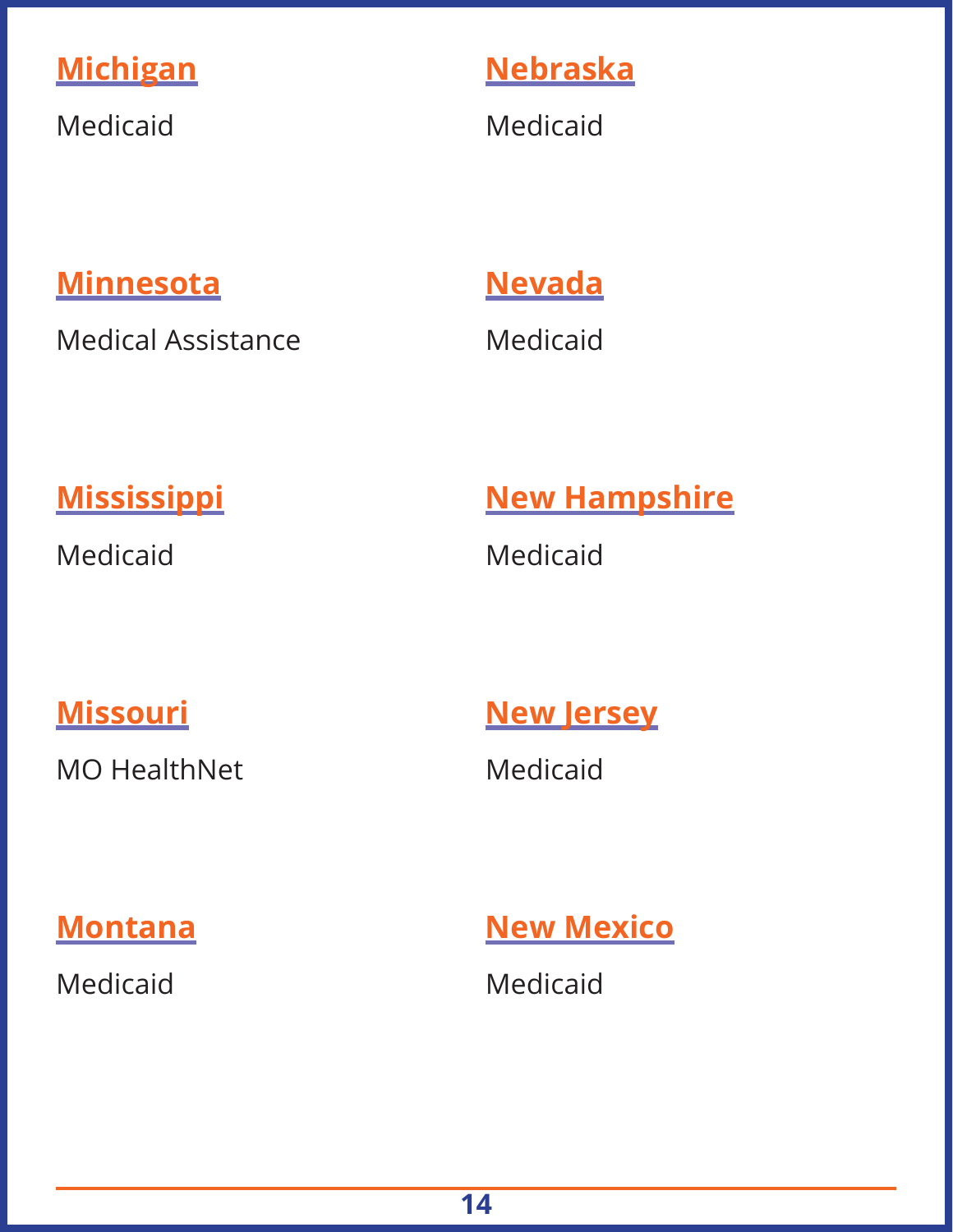#### **Michigan**

Medicaid

#### **Nebraska**

Medicaid

#### **Minnesota**

Medical Assistance

#### **Nevada**

Medicaid

#### **Mississippi**

Medicaid

#### **New Hampshire**

Medicaid

#### **Missouri**

MO HealthNet

#### **New Jersey**

Medicaid

**Montana** 

Medicaid

**New Mexico** 

Medicaid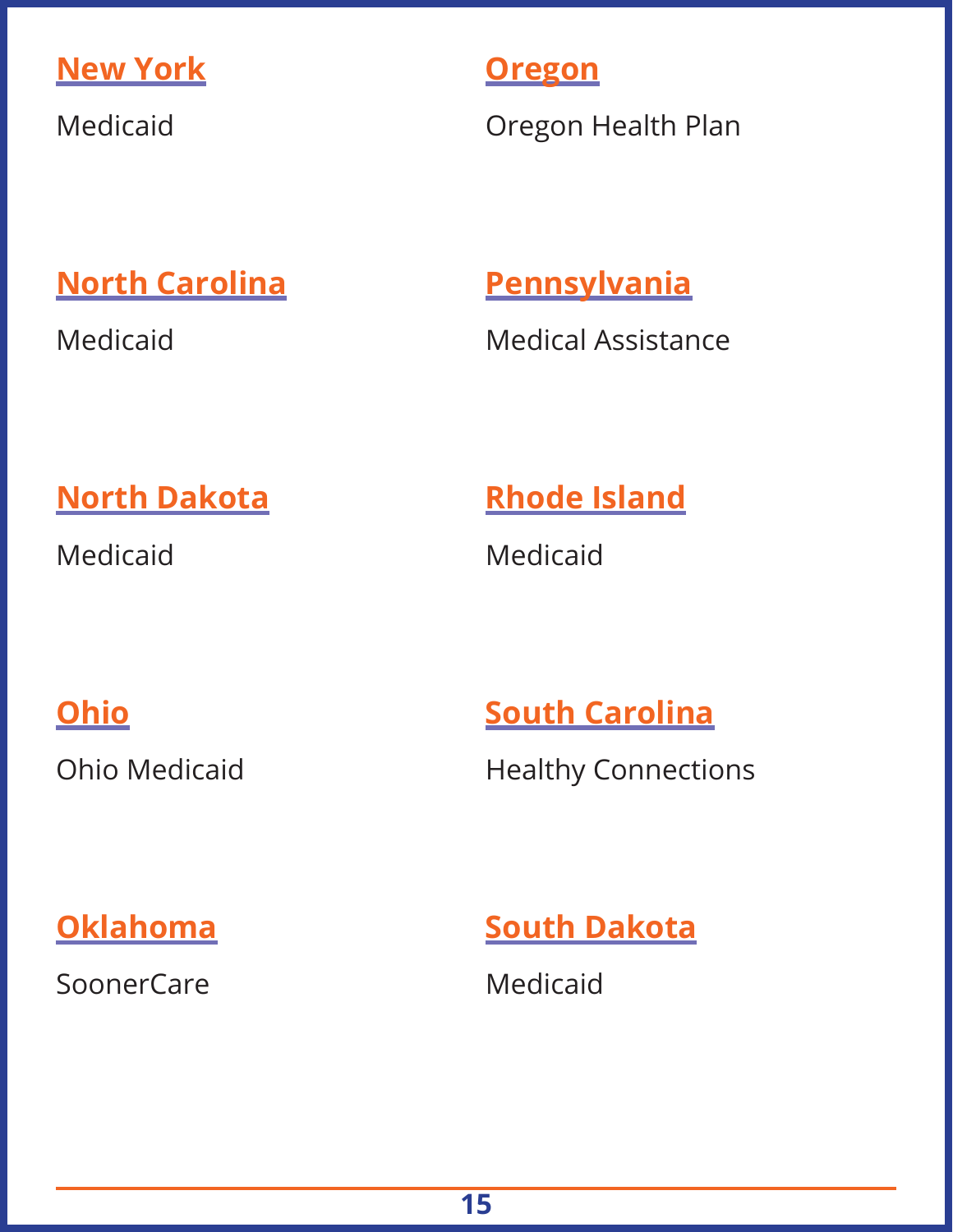

Medicaid

#### **Oregon**

Oregon Health Plan

#### **North Carolina**

Medicaid

#### **Pennsylvania**

Medical Assistance

#### **North Dakota**

Medicaid

#### **Rhode Island**

Medicaid

#### **Ohio**

Ohio Medicaid

#### **South Carolina**

Healthy Connections

#### **Oklahoma**

SoonerCare

#### **South Dakota**

Medicaid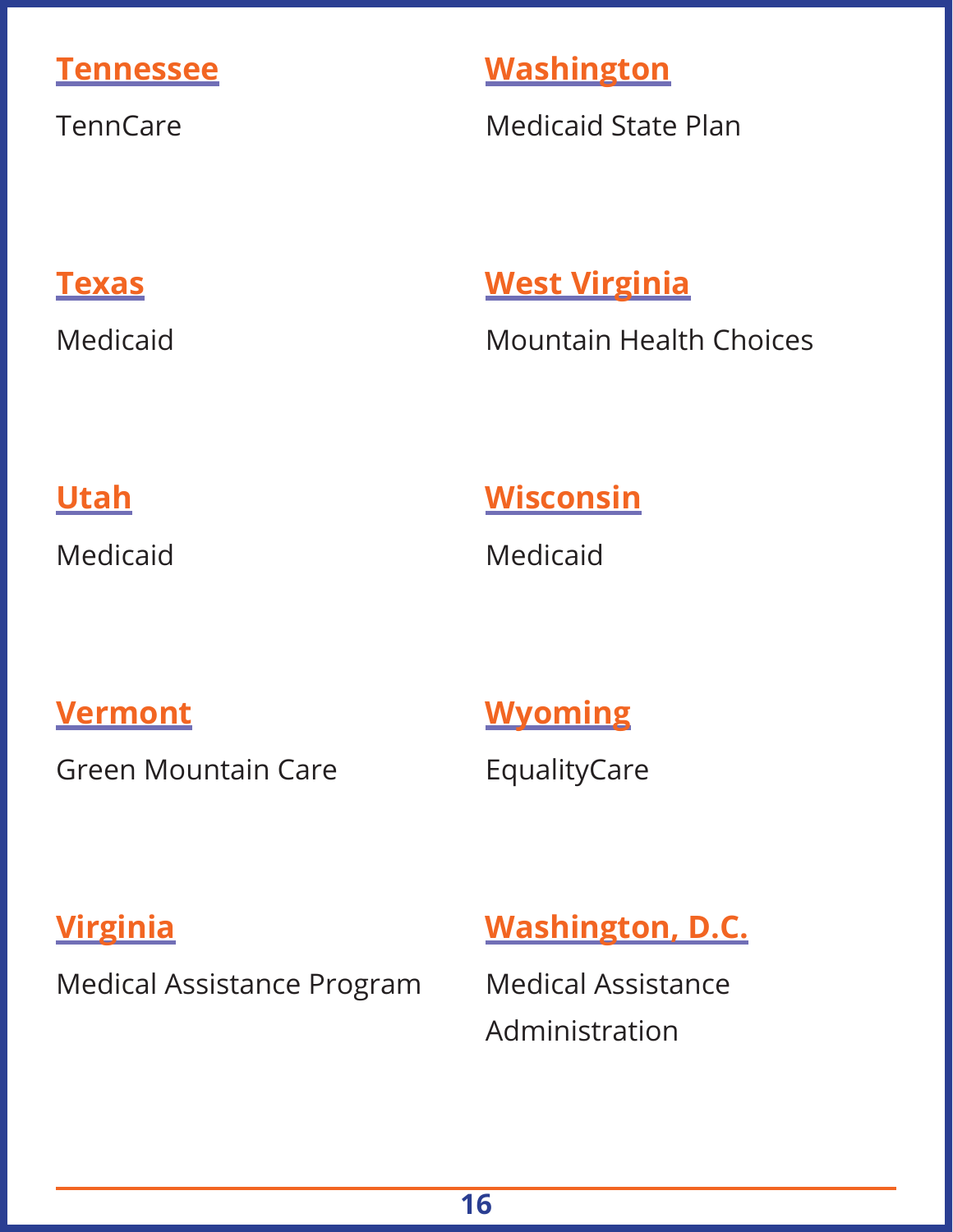#### **Tennessee**

**TennCare** 

#### **Washington**

Medicaid State Plan

#### **Texas**

Medicaid

#### **West Virginia**

Mountain Health Choices

#### **Utah**

Medicaid

#### **Wisconsin**

Medicaid

#### **Vermont**

Green Mountain Care

# **Wyoming**

EqualityCare

#### **Virginia**

Medical Assistance Program

#### **Washington, D.C.**

Medical Assistance Administration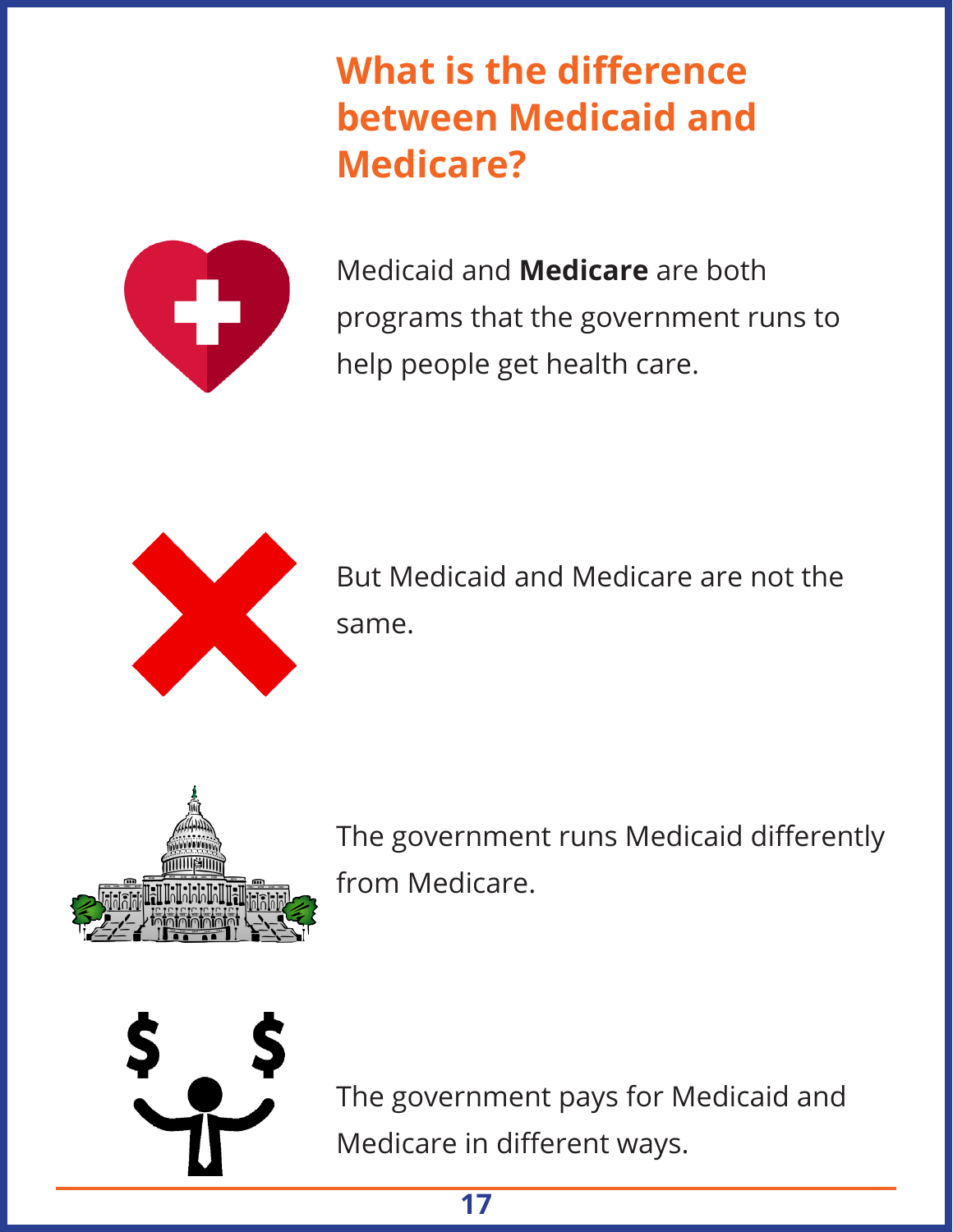## **What is the difference between Medicaid and Medicare?**



Medicaid and **Medicare** are both programs that the government runs to help people get health care.



But Medicaid and Medicare are not the same.



The government runs Medicaid differently from Medicare.



The government pays for Medicaid and Medicare in different ways.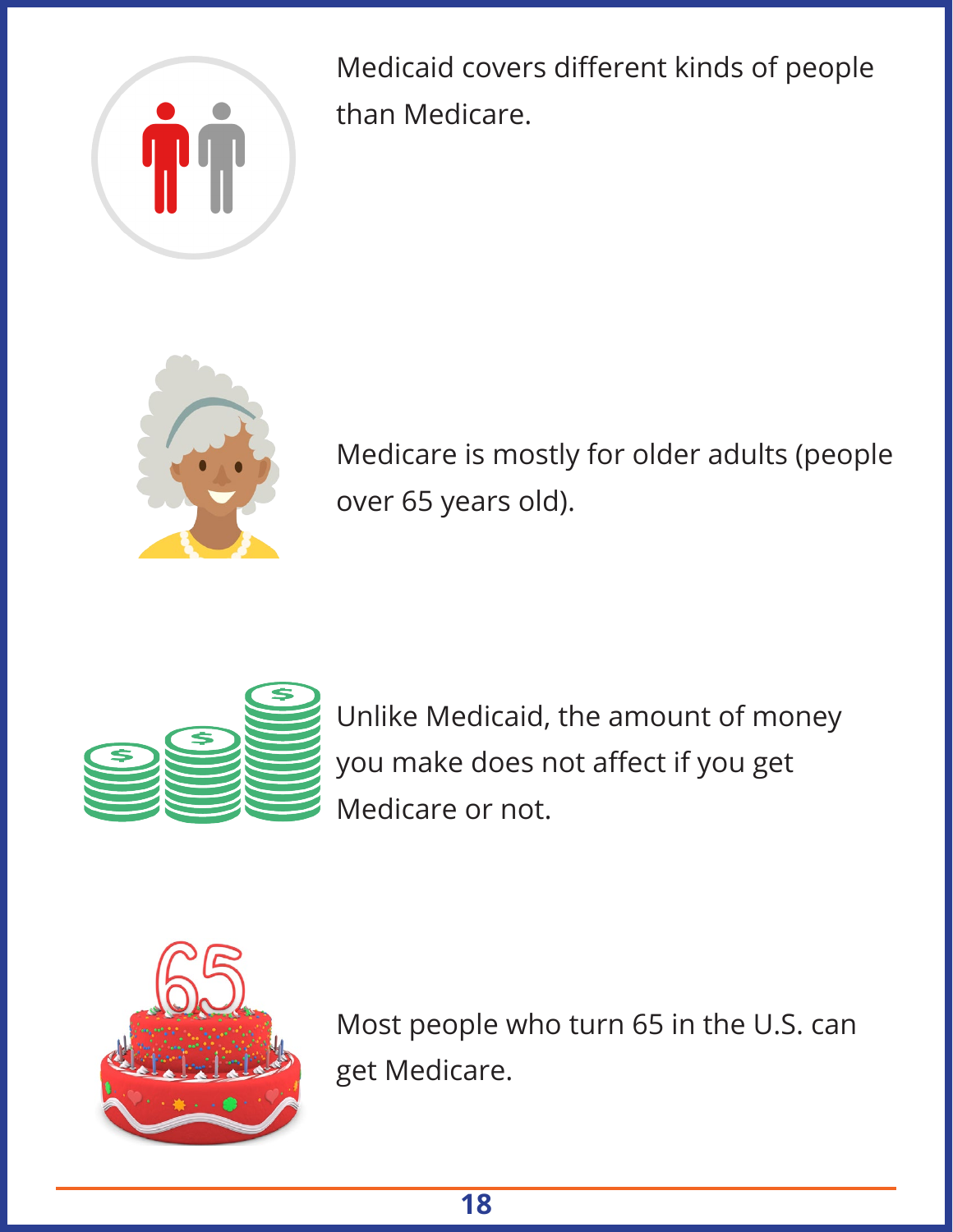

Medicaid covers different kinds of people than Medicare.



Medicare is mostly for older adults (people over 65 years old).



Unlike Medicaid, the amount of money you make does not affect if you get Medicare or not.



Most people who turn 65 in the U.S. can get Medicare.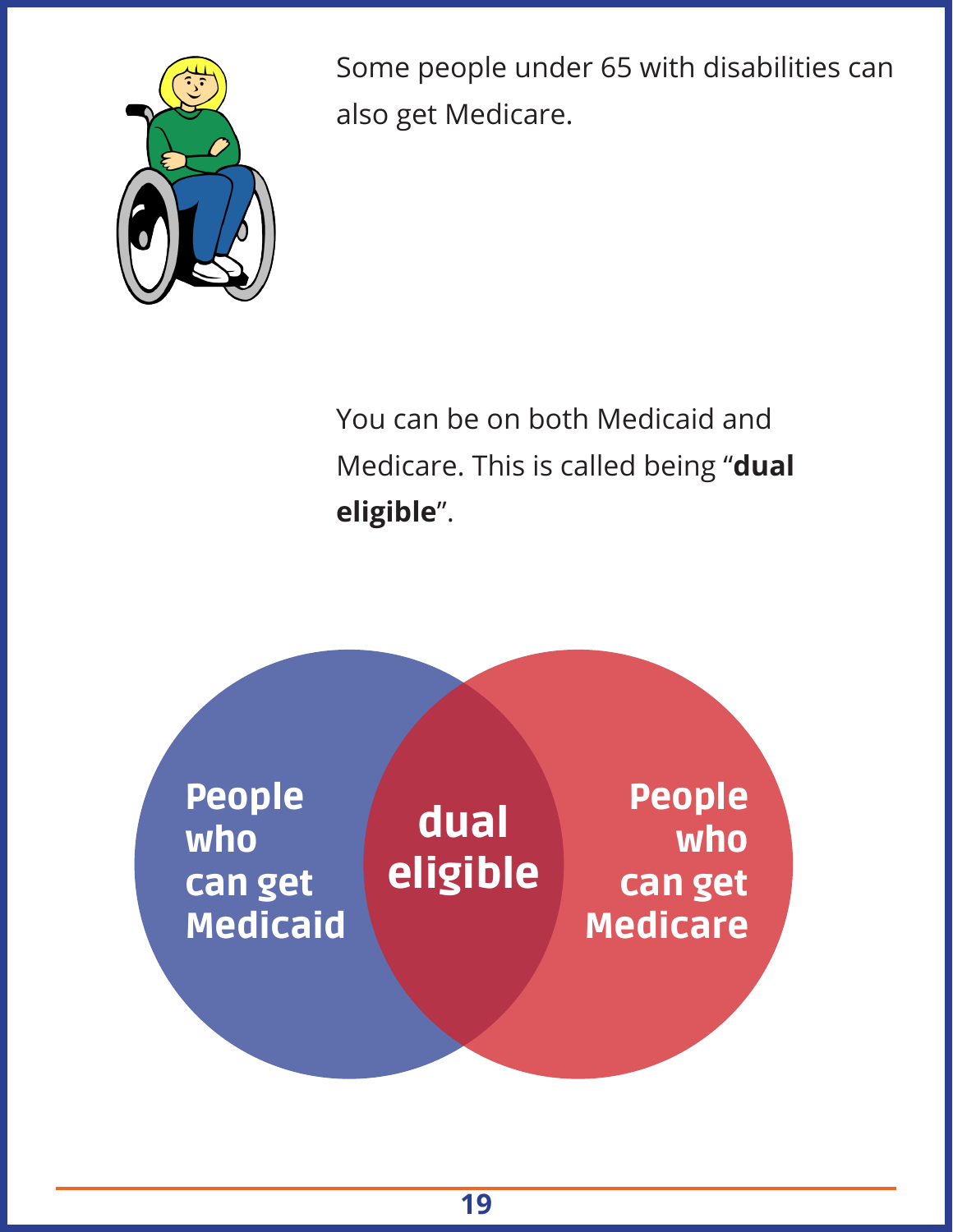

Some people under 65 with disabilities can also get Medicare.

You can be on both Medicaid and Medicare. This is called being "**dual eligible**".

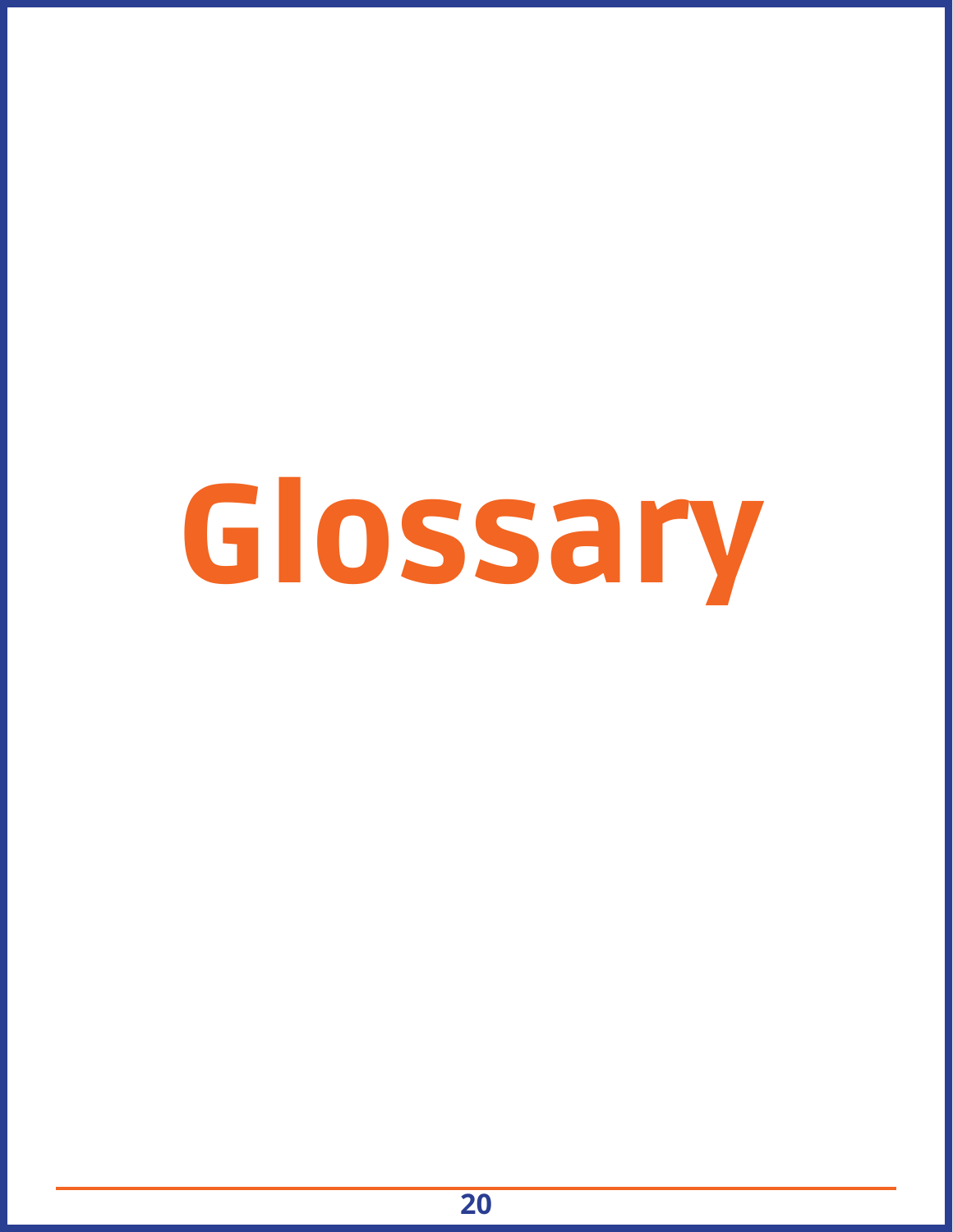# Glossary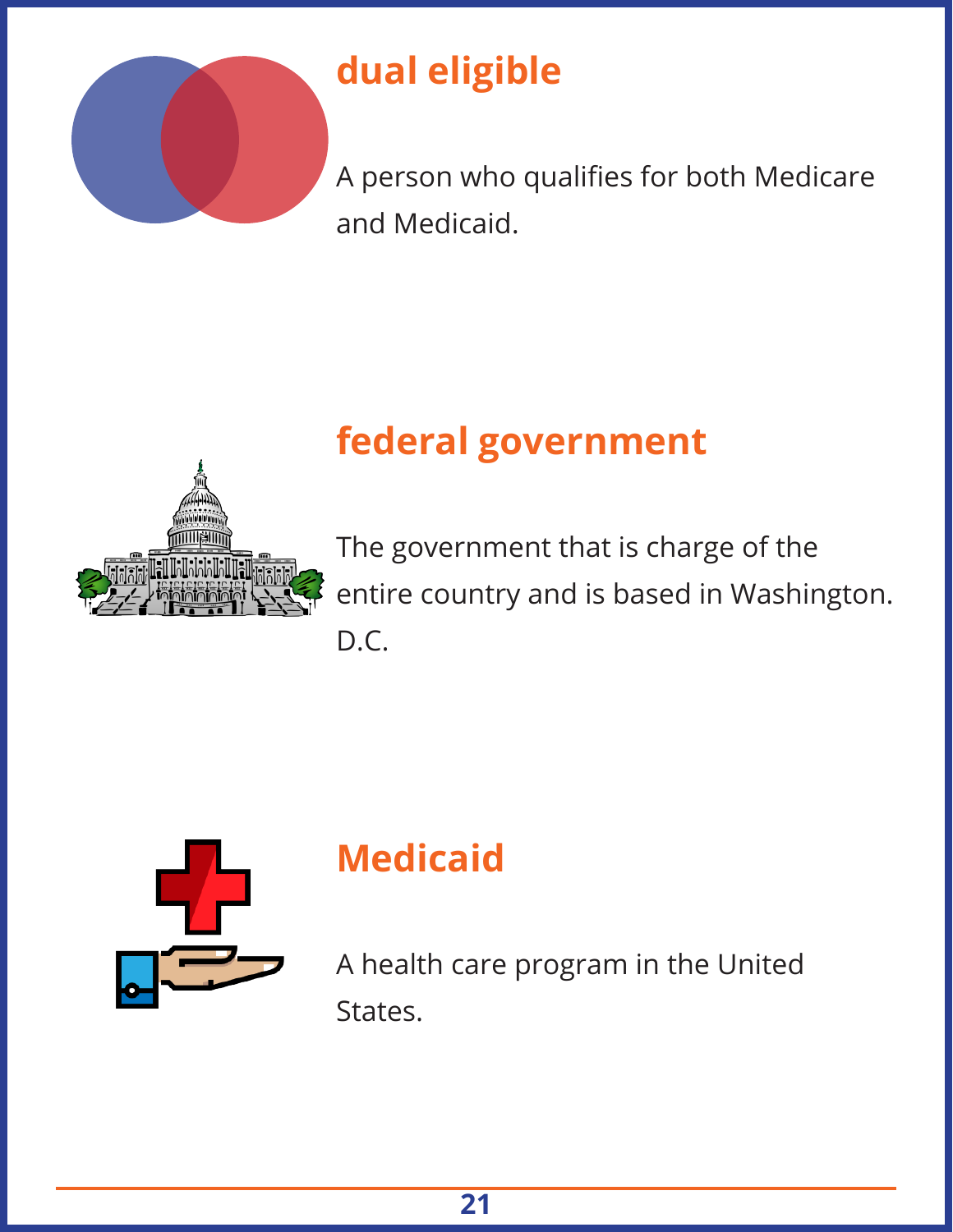

# **dual eligible**

A person who qualifies for both Medicare and Medicaid.



# **federal government**

The government that is charge of the entire country and is based in Washington. D.C.



# **Medicaid**

A health care program in the United States.